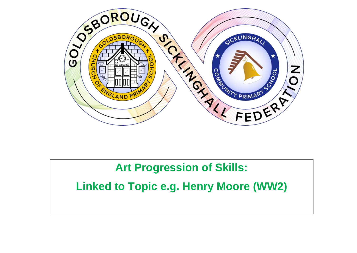

## **Art Progression of Skills:**

**Linked to Topic e.g. Henry Moore (WW2)**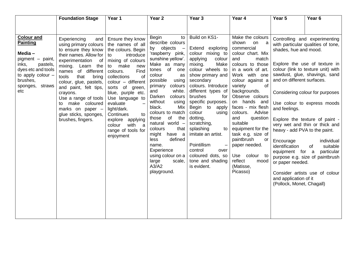|                                                                                                                                                | <b>Foundation Stage</b>                                                                                                                                                                                            | Year 1                                                                                                                                                                                           | Year <sub>2</sub>                                                                                                                                                                                                                                                                                       | Year 3                                                                                                                                                                                                                                                                                 | Year 4                                                                                                                                                                                                                                                                              | Year 5                                                                                                                                                                     | Year <sub>6</sub>                                                                                                                                                                                                                                     |
|------------------------------------------------------------------------------------------------------------------------------------------------|--------------------------------------------------------------------------------------------------------------------------------------------------------------------------------------------------------------------|--------------------------------------------------------------------------------------------------------------------------------------------------------------------------------------------------|---------------------------------------------------------------------------------------------------------------------------------------------------------------------------------------------------------------------------------------------------------------------------------------------------------|----------------------------------------------------------------------------------------------------------------------------------------------------------------------------------------------------------------------------------------------------------------------------------------|-------------------------------------------------------------------------------------------------------------------------------------------------------------------------------------------------------------------------------------------------------------------------------------|----------------------------------------------------------------------------------------------------------------------------------------------------------------------------|-------------------------------------------------------------------------------------------------------------------------------------------------------------------------------------------------------------------------------------------------------|
| <b>Colour and</b><br><b>Painting</b><br>Media-<br>pigment - paint,<br>inks,<br>pastels,<br>dyes etc and tools<br>to apply colour -<br>brushes, | Experiencing<br>and<br>using primary colours<br>to ensure they know<br>their names. Allow for<br>experimentation of<br>mixing. Learn the<br>names of different<br>tools<br>that<br>bring<br>colour, glue, pastels, | Ensure they know<br>the names of all<br>the colours. Begin<br>introduce<br>to<br>mixing of colours<br>to make<br>new<br>Find<br>colours.<br>of<br>collections<br>colour - different              | <b>Begin</b><br>to<br>describe colours<br>by objects<br>$\frac{1}{2}$<br>'raspberry pink,<br>sunshine yellow'.<br>Make as many<br>tones of<br>one<br>colour<br>as<br>possible<br>using                                                                                                                  | Build on KS1-<br>Extend exploring<br>colour mixing to<br>applying<br>colour<br>mixing.<br>Make<br>colour wheels to<br>show primary and<br>secondary                                                                                                                                    | Make the colours<br>shown<br>on<br>- a<br>commercial<br>colour chart. Mix<br>and<br>match<br>colours to those<br>in a work of art.<br>Work with one<br>colour against a                                                                                                             | shades, hue and mood.<br>and on different surfaces.                                                                                                                        | Controlling and experimenting<br>with particular qualities of tone,<br>Explore the use of texture in<br>colour (link to texture unit) with<br>sawdust, glue, shavings, sand                                                                           |
| sponges,<br>straws<br>etc                                                                                                                      | and paint, felt tips,<br>crayons.<br>Use a range of tools<br>make coloured<br>to<br>marks on paper -<br>glue sticks, sponges,<br>brushes, fingers.                                                                 | sorts of green,<br>blue, purple etc.<br>Use language to<br>evaluate<br>light/dark.<br>Continues<br>to<br>explore applying<br>with<br>colour<br>$\overline{a}$<br>range of tools for<br>enjoyment | colours<br>primary<br>white.<br>and<br>Darken<br>colours<br>without<br>using<br>black.<br>Mix<br>colours to match<br>of<br>those<br>the<br>natural world -<br>colours<br>that<br>might have a<br>defined<br>less<br>name.<br>Experience<br>using colour on a<br>large<br>scale,<br>A3/A2<br>playground. | colours. Introduce<br>different types of<br>brushes<br>for<br>specific purposes.<br>Begin to<br>apply<br>colour<br>using<br>dotting,<br>scratching,<br>splashing<br>to<br>imitate an artist.<br>Pointillism<br>control<br>over<br>coloured dots, so<br>tone and shading<br>is evident. | variety<br>of<br>backgrounds.<br>Observe colours<br>on hands and<br>faces - mix flesh<br>colours. Advise<br>and<br>question<br>suitable<br>equipment for the<br>task e.g. size of<br>paintbrush<br>or<br>paper needed.<br>Use colour to<br>reflect<br>mood<br>(Matisse,<br>Picasso) | and feelings.<br>heavy - add PVA to the paint.<br>Encourage<br>identification<br>equipment for a<br>or paper needed.<br>and application of it<br>(Pollock, Monet, Chagall) | Considering colour for purposes<br>Use colour to express moods<br>Explore the texture of paint -<br>very wet and thin or thick and<br>individual<br>suitable<br>of<br>particular<br>purpose e.g. size of paintbrush<br>Consider artists use of colour |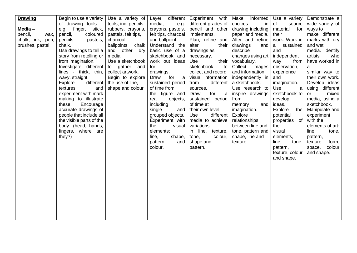| <b>Drawing</b>      | Begin to use a variety   | Use a variety of     | different<br>Layer  | Experiment with     | informed<br>Make  | Use a variety   | Demonstrate a     |
|---------------------|--------------------------|----------------------|---------------------|---------------------|-------------------|-----------------|-------------------|
|                     | of drawing tools $-$     | tools, inc. pencils, | media,<br>e.g.      | different grades of | choices<br>in     | of<br>source    | wide variety of   |
| Media-              | e.g. finger, stick,      | rubbers, crayons,    | crayons, pastels,   | pencil and other    | drawing including | for<br>material | ways to           |
| pencil,<br>wax,     | pencil,<br>coloured      | pastels, felt tips,  | felt tips, charcoal | implements.         | paper and media.  | their           | make different    |
| chalk, ink,<br>pen, | pencils,<br>pastels,     | charcoal,            | and ballpoint.      | Plan, refine and    | Alter and refine  | work. Work in   | marks with dry    |
| brushes, pastel     | chalk.                   | ballpoints, chalk    | Understand the      | alter<br>their      | drawings<br>and   | sustained<br>a  | and wet           |
|                     | Use drawings to tell a   | other dry<br>and     | basic use of a      | drawings as         | describe          | and             | media. Identify   |
|                     | story from retelling or  | media.               | sketchbook and      | necessary.          | changes using art | independent     | artists<br>who    |
|                     | from imagination.        | Use a sketchbook     | work out ideas      | Use<br>their        | vocabulary.       | way<br>from     | have worked in    |
|                     | Investigate different    | gather and<br>to     | for                 | sketchbook<br>to    | Collect images    | observation,    | a                 |
|                     | lines - thick, thin,     | collect artwork.     | drawings.           | collect and record  | and information   | experience      | similar way to    |
|                     | wavy, straight.          | Begin to explore     | for<br>Draw<br>a a  | visual information  | independently in  | and             | their own work.   |
|                     | Explore<br>different     | the use of line,     | sustained period    | from<br>different   | a sketchbook.     | imagination.    | Develop ideas     |
|                     | textures<br>and          | shape and colour     | of time from        | sources.            | Use research to   | Use<br>a        | using different   |
|                     | experiment with mark     |                      | the figure and      | for<br>Draw<br>a    | inspire drawings  | sketchbook to   | mixed<br>or       |
|                     | making to illustrate     |                      | real<br>objects,    | sustained period    | from              | develop         | media, using a    |
|                     | these.<br>Encourage      |                      | including           | of time at          | memory<br>and     | ideas.          | sketchbook.       |
|                     | accurate drawings of     |                      | single<br>and       | their own level.    | imagination.      | Explore<br>the  | Manipulate and    |
|                     | people that include all  |                      | grouped objects.    | Use<br>different    | Explore           | potential       | experiment        |
|                     | the visible parts of the |                      | Experiment with     | media to achieve    | relationships     | properties of   | with the          |
|                     | body. (head, hands,      |                      | the<br>visual       | variations          | between line and  | the             | elements of art:  |
|                     | fingers, where are       |                      | elements;           | in line, texture,   | tone, pattern and | visual          | line,<br>tone,    |
|                     | they?)                   |                      | line,<br>shape,     | tone,<br>colour,    | shape, line and   | elements,       | pattern,          |
|                     |                          |                      | pattern<br>and      | shape and           | texture           | line,<br>tone,  | texture,<br>form, |
|                     |                          |                      | colour.             | pattern.            |                   | pattern,        | colour<br>space,  |
|                     |                          |                      |                     |                     |                   | texture, colour | and shape.        |
|                     |                          |                      |                     |                     |                   | and shape.      |                   |
|                     |                          |                      |                     |                     |                   |                 |                   |
|                     |                          |                      |                     |                     |                   |                 |                   |
|                     |                          |                      |                     |                     |                   |                 |                   |
|                     |                          |                      |                     |                     |                   |                 |                   |
|                     |                          |                      |                     |                     |                   |                 |                   |
|                     |                          |                      |                     |                     |                   |                 |                   |
|                     |                          |                      |                     |                     |                   |                 |                   |
|                     |                          |                      |                     |                     |                   |                 |                   |
|                     |                          |                      |                     |                     |                   |                 |                   |
|                     |                          |                      |                     |                     |                   |                 |                   |
|                     |                          |                      |                     |                     |                   |                 |                   |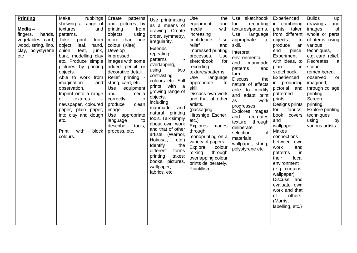| <b>Printing</b><br>Media $-$<br>fingers,<br>hands,<br>vegetables, card,<br>wood, string, lino,<br>clay, polystyrene<br>etc | rubbings<br>Make<br>showing a range of<br>and<br>textures<br>patterns.<br>Take<br>print<br>from<br>object:<br>leaf,<br>hand,<br>feet,<br>onion,<br>junk,<br>bark, modelling clay<br>etc. Produce simple<br>pictures by printing<br>objects.<br>Able to work from<br>imagination<br>and<br>observation.<br>Imprint onto a range<br>of<br>textures<br>newspaper, coloured<br>paper, plain paper,<br>into clay and dough<br>etc.<br>Print<br>with<br>block<br>colours. | Create<br>patterns<br>and pictures by<br>printing<br>from<br>objects<br>using<br>more than one<br>colour. (Klee)<br>Develop<br>impressed<br>images with some<br>added pencil or<br>decorative detail.<br>Relief printing -<br>string, card, etc.<br>Use<br>equipment<br>media<br>and<br>to<br>correctly,<br>produce<br>clean<br>image.<br>Use appropriate<br>language<br>to<br>describe<br>tools,<br>process, etc. | Use printmaking<br>as a means of<br>drawing. Create<br>order, symmetry,<br>irregularity.<br>Extends<br>repeating<br>patterns<br>overlapping,<br>two<br>using<br>contrasting<br>colours etc. Still<br>prints with a<br>growing range of<br>objects,<br>including<br>manmade<br>and<br>natural printing<br>tools. Talk simply<br>about own work<br>and that of other<br>artists. (Warhol,<br>Hokusai,<br>etc.)<br>Identify<br>the<br>different<br>forms<br>printing<br>takes:<br>books, pictures,<br>wallpaper,<br>fabrics, etc. | Use<br>the<br>and<br>equipment<br>media<br>with<br>increasing<br>confidence.<br>Use<br>relief<br>and<br>impressed printing<br>processes.<br>Use<br>sketchbook<br>for<br>recording<br>textures/patterns.<br>Use<br>language<br>appropriate<br>to<br>skill.<br>Discuss own work<br>and that of other<br>artists.<br>(packaging,<br>Hiroshige, Escher,<br>$etc.$ )<br>Explores images<br>through<br>monoprinting on a<br>variety of papers.<br>Explore<br>colour<br>mixing<br>through<br>overlapping colour<br>prints deliberately.<br>Pointillism | Use sketchbook<br>for<br>recording<br>textures/patterns.<br>Use<br>language<br>appropriate<br>to<br>skill.<br>Interpret<br>environmental<br>manmade<br>and<br>and<br>patterns<br>form.<br><b>Discuss</b><br>the<br>nature of effects<br>able to modify<br>and adapt print<br>work<br>as<br>progresses.<br>Explores images<br>and<br>recreates<br>texture through<br>deliberate<br>selection<br>of<br>materials<br>wallpaper, string,<br>polystyrene etc. | Experienced<br>in combining<br>prints<br>taken<br>from different<br>objects<br>to<br>produce<br>an<br>end<br>piece.<br>Experiment<br>with ideas, to<br>in<br>plan<br>sketchbook.<br>Experienced<br>in producing<br>pictorial and<br>patterned<br>prints.<br>Designs prints<br>fabrics,<br>for<br>book covers<br>and<br>wallpaper.<br>Makes<br>connections<br>between own<br>work<br>and<br>patterns<br>in<br>their<br>local<br>environment<br>(e.g. curtains,<br>wallpaper)<br>Discuss and<br>evaluate own<br>work and that<br>others.<br>of<br>(Morris,<br>labelling, etc.) | <b>Builds</b><br>up<br>drawings<br>and<br>images<br>of<br>whole or parts<br>of items using<br>various<br>techniques,<br>e.g. card, relief.<br>Recreates<br>a<br>scene<br>remembered,<br>observed<br>or<br>imagined,<br>through collage<br>printing.<br>Screen<br>printing.<br>Explore printing<br>techniques<br>using<br>by<br>various artists. |
|----------------------------------------------------------------------------------------------------------------------------|---------------------------------------------------------------------------------------------------------------------------------------------------------------------------------------------------------------------------------------------------------------------------------------------------------------------------------------------------------------------------------------------------------------------------------------------------------------------|--------------------------------------------------------------------------------------------------------------------------------------------------------------------------------------------------------------------------------------------------------------------------------------------------------------------------------------------------------------------------------------------------------------------|--------------------------------------------------------------------------------------------------------------------------------------------------------------------------------------------------------------------------------------------------------------------------------------------------------------------------------------------------------------------------------------------------------------------------------------------------------------------------------------------------------------------------------|-------------------------------------------------------------------------------------------------------------------------------------------------------------------------------------------------------------------------------------------------------------------------------------------------------------------------------------------------------------------------------------------------------------------------------------------------------------------------------------------------------------------------------------------------|----------------------------------------------------------------------------------------------------------------------------------------------------------------------------------------------------------------------------------------------------------------------------------------------------------------------------------------------------------------------------------------------------------------------------------------------------------|------------------------------------------------------------------------------------------------------------------------------------------------------------------------------------------------------------------------------------------------------------------------------------------------------------------------------------------------------------------------------------------------------------------------------------------------------------------------------------------------------------------------------------------------------------------------------|-------------------------------------------------------------------------------------------------------------------------------------------------------------------------------------------------------------------------------------------------------------------------------------------------------------------------------------------------|
|----------------------------------------------------------------------------------------------------------------------------|---------------------------------------------------------------------------------------------------------------------------------------------------------------------------------------------------------------------------------------------------------------------------------------------------------------------------------------------------------------------------------------------------------------------------------------------------------------------|--------------------------------------------------------------------------------------------------------------------------------------------------------------------------------------------------------------------------------------------------------------------------------------------------------------------------------------------------------------------------------------------------------------------|--------------------------------------------------------------------------------------------------------------------------------------------------------------------------------------------------------------------------------------------------------------------------------------------------------------------------------------------------------------------------------------------------------------------------------------------------------------------------------------------------------------------------------|-------------------------------------------------------------------------------------------------------------------------------------------------------------------------------------------------------------------------------------------------------------------------------------------------------------------------------------------------------------------------------------------------------------------------------------------------------------------------------------------------------------------------------------------------|----------------------------------------------------------------------------------------------------------------------------------------------------------------------------------------------------------------------------------------------------------------------------------------------------------------------------------------------------------------------------------------------------------------------------------------------------------|------------------------------------------------------------------------------------------------------------------------------------------------------------------------------------------------------------------------------------------------------------------------------------------------------------------------------------------------------------------------------------------------------------------------------------------------------------------------------------------------------------------------------------------------------------------------------|-------------------------------------------------------------------------------------------------------------------------------------------------------------------------------------------------------------------------------------------------------------------------------------------------------------------------------------------------|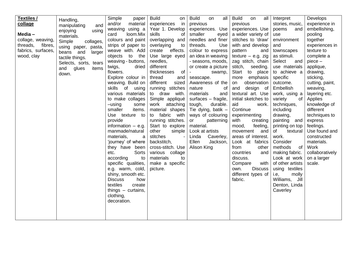| Textiles /<br>collage<br>Media-<br>collage, weaving,<br>threads,<br>fibres,<br>fabrics, surfaces,<br>wood, clay | Handling,<br>manipulating<br>and<br>using<br>enjoying<br>materials.<br>Simple<br>collages,<br>using paper, pasta,<br>beans and<br>larger<br>tactile things.<br>Selects, sorts, tears<br>and<br>glues<br>items<br>down. | Simple<br>paper<br>and/or<br>material<br>weaving using a<br>loom.Mix<br>card<br>colours and paint<br>strips of paper to<br>weave with. Add<br>the<br>objects<br>to<br>weaving - buttons,<br>twigs,<br>dried<br>flowers.<br>Explore colour in<br>weaving. Build on<br>skills of using<br>various materials<br>to make collages<br>$-using$<br>some<br>smaller<br>items.<br>Use texture to<br>provide<br>information $-$ e.g.<br>manmade/natural<br>materials,<br>a<br>'journey' of where<br>they have been<br>Sorts<br>etc.<br>according<br>to<br>specific qualities,<br>e.g. warm, cold,<br>shiny, smooth etc.<br><b>Discuss</b><br>how<br>textiles<br>create<br>things $-$ curtains,<br>clothing,<br>decoration. | <b>Build</b><br>on<br>in<br>experiences<br>Year 1. Develop<br>skills<br>0f<br>overlapping and<br>overlaying<br>to<br>effects.<br>create<br>Use large eyed<br>needles,<br>different<br>thicknesses<br>of<br>thread<br>and<br>different<br>sized<br>running stitches<br>to draw with.<br>Simple appliqué<br>attaching<br>work<br>material shapes<br>fabric with<br>to<br>running stitches.<br>Start to explore<br>other<br>simple<br>stitches<br>backstitch,<br>cross-stitch. Use<br>various collage<br>materials<br>to<br>make a specific<br>picture. | <b>Build</b><br>all<br>on<br>previous<br>experiences. Use<br>smaller<br>eyed<br>needles and finer<br>threads.<br>Use<br>colour to express<br>an idea in weaving<br>- seasons, moods,<br>or create a picture<br>swamp,<br>seascape.<br>Awareness of the<br>nature<br>of<br>materials<br>and<br>surfaces - fragile,<br>tough,<br>durable.<br>Tie dying, batik -<br>ways of colouring<br>patterning<br>or<br>material.<br>Look at artists<br>Linda<br>Caverley,<br>Ellen<br>Jackson,<br>Alison King | <b>Build</b><br>on<br>all<br>previous<br>experiences. Use<br>a wider variety of<br>stitches to 'draw'<br>with and develop<br>pattern<br>and<br>texture $-$ e.g. zig<br>zag stitch, chain<br>stitch,<br>seeding.<br>Start<br>to place<br>emphasis<br>more<br>observation<br>on<br>design of<br>and<br>textural art. Use<br>initial sketches to<br>aid<br>work.<br>Continue<br>experimenting<br>with<br>creating<br>mood,<br>feeling,<br>movement<br>and<br>areas of interest.<br>Look at fabrics<br>from<br>other<br>countries<br>and<br>discuss.<br>Compare<br>with<br><b>Discuss</b><br>own.<br>different types of<br>fabric. | Interpret<br>stories, music,<br>poems<br>and<br>use<br>environment<br>and<br>townscapes<br>as stimuli.<br>Select<br>and<br>use materials<br>to achieve a<br>specific<br>outcome.<br>Embellish<br>work, using a<br>variety<br>0f<br>techniques,<br>including<br>drawing,<br>painting and<br>printing on top<br>of<br>textural<br>work.<br>Consider<br>methods<br><b>of</b><br>making fabric.<br>Look at work<br>of other artists<br>using textiles<br>i.e,<br>molly<br>Williams, Jill<br>Denton, Linda<br>Caverley | Develops<br>experience in<br>embellishing,<br>pooling<br>together<br>experiences in<br>texture to<br>complete a<br>$piece -$<br>applique,<br>drawing,<br>sticking,<br>cutting, paint,<br>weaving,<br>layering etc.<br>Applies<br>knowledge of<br>different<br>techniques to<br>express<br>feelings.<br>Use found and<br>constructed<br>materials.<br>Work<br>collaboratively<br>on a larger<br>scale. |
|-----------------------------------------------------------------------------------------------------------------|------------------------------------------------------------------------------------------------------------------------------------------------------------------------------------------------------------------------|-------------------------------------------------------------------------------------------------------------------------------------------------------------------------------------------------------------------------------------------------------------------------------------------------------------------------------------------------------------------------------------------------------------------------------------------------------------------------------------------------------------------------------------------------------------------------------------------------------------------------------------------------------------------------------------------------------------------|------------------------------------------------------------------------------------------------------------------------------------------------------------------------------------------------------------------------------------------------------------------------------------------------------------------------------------------------------------------------------------------------------------------------------------------------------------------------------------------------------------------------------------------------------|--------------------------------------------------------------------------------------------------------------------------------------------------------------------------------------------------------------------------------------------------------------------------------------------------------------------------------------------------------------------------------------------------------------------------------------------------------------------------------------------------|--------------------------------------------------------------------------------------------------------------------------------------------------------------------------------------------------------------------------------------------------------------------------------------------------------------------------------------------------------------------------------------------------------------------------------------------------------------------------------------------------------------------------------------------------------------------------------------------------------------------------------|-------------------------------------------------------------------------------------------------------------------------------------------------------------------------------------------------------------------------------------------------------------------------------------------------------------------------------------------------------------------------------------------------------------------------------------------------------------------------------------------------------------------|-------------------------------------------------------------------------------------------------------------------------------------------------------------------------------------------------------------------------------------------------------------------------------------------------------------------------------------------------------------------------------------------------------|
|-----------------------------------------------------------------------------------------------------------------|------------------------------------------------------------------------------------------------------------------------------------------------------------------------------------------------------------------------|-------------------------------------------------------------------------------------------------------------------------------------------------------------------------------------------------------------------------------------------------------------------------------------------------------------------------------------------------------------------------------------------------------------------------------------------------------------------------------------------------------------------------------------------------------------------------------------------------------------------------------------------------------------------------------------------------------------------|------------------------------------------------------------------------------------------------------------------------------------------------------------------------------------------------------------------------------------------------------------------------------------------------------------------------------------------------------------------------------------------------------------------------------------------------------------------------------------------------------------------------------------------------------|--------------------------------------------------------------------------------------------------------------------------------------------------------------------------------------------------------------------------------------------------------------------------------------------------------------------------------------------------------------------------------------------------------------------------------------------------------------------------------------------------|--------------------------------------------------------------------------------------------------------------------------------------------------------------------------------------------------------------------------------------------------------------------------------------------------------------------------------------------------------------------------------------------------------------------------------------------------------------------------------------------------------------------------------------------------------------------------------------------------------------------------------|-------------------------------------------------------------------------------------------------------------------------------------------------------------------------------------------------------------------------------------------------------------------------------------------------------------------------------------------------------------------------------------------------------------------------------------------------------------------------------------------------------------------|-------------------------------------------------------------------------------------------------------------------------------------------------------------------------------------------------------------------------------------------------------------------------------------------------------------------------------------------------------------------------------------------------------|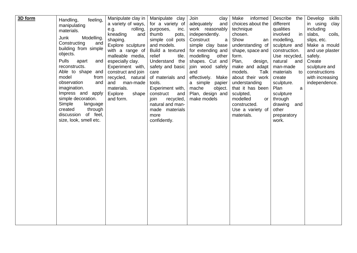| 3D form |                              | Manipulate clay in | Manipulate clay   | Join<br>clay         | informed<br>Make  | Describe<br>the | Develop<br>skills |
|---------|------------------------------|--------------------|-------------------|----------------------|-------------------|-----------------|-------------------|
|         | feeling,<br>Handling,        | a variety of ways, | for a variety of  | adequately<br>and    | choices about the | different       | in using<br>clay  |
|         | manipulating                 | rolling,<br>e.g.   | purposes,<br>inc. | work reasonably      | technique         | qualities       | including         |
|         | materials.                   | kneading<br>and    | thumb<br>pots,    | independently.       | chosen.           | involved<br>in  | slabs,<br>coils,  |
|         | Junk<br>Modelling.           | shaping.           | simple coil pots  | Construct<br>a       | Show<br>an        | modelling,      | slips, etc.       |
|         | Constructing<br>and          | Explore sculpture  | and models.       | simple clay base     | understanding of  | sculpture and   | Make a mould      |
|         | building from simple         | with a range of    | Build a textured  | for extending and    | shape, space and  | construction.   | and use plaster   |
|         | objects.                     | malleable media,   | relief<br>tile.   | modelling<br>other   | form.             | Use recycled,   | safely.           |
|         | <b>Pulls</b><br>apart<br>and | especially clay.   | Understand the    | shapes. Cut and      | Plan,<br>design,  | natural<br>and  | Create            |
|         | reconstructs.                | Experiment with,   | safety and basic  | join wood safely     | make and adapt    | man-made        | sculpture and     |
|         | Able to shape and            | construct and join | care              | and                  | models.<br>Talk   | materials<br>to | constructions     |
|         | model<br>from                | recycled, natural  | of materials and  | effectively.<br>Make | about their work  | create          | with increasing   |
|         | observation<br>and           | and<br>man-made    | tools.            | a simple<br>papier   | understanding     | sculpture.      | independence.     |
|         | imagination.                 | materials.         | Experiment with,  | mache<br>object.     | that it has been  | Plan<br>a       |                   |
|         | Impress and apply            | Explore<br>shape   | construct<br>and  | Plan, design and     | sculpted,         | sculpture       |                   |
|         | simple decoration.           | and form.          | recycled,<br>join | make models          | modelled<br>or    | through         |                   |
|         | Simple<br>language           |                    | natural and man-  |                      | constructed.      | drawing<br>and  |                   |
|         | created<br>through           |                    | made materials    |                      | Use a variety of  | other           |                   |
|         | discussion of feel,          |                    | more              |                      | materials.        | preparatory     |                   |
|         | size, look, smell etc.       |                    | confidently.      |                      |                   | work.           |                   |
|         |                              |                    |                   |                      |                   |                 |                   |
|         |                              |                    |                   |                      |                   |                 |                   |
|         |                              |                    |                   |                      |                   |                 |                   |
|         |                              |                    |                   |                      |                   |                 |                   |
|         |                              |                    |                   |                      |                   |                 |                   |
|         |                              |                    |                   |                      |                   |                 |                   |
|         |                              |                    |                   |                      |                   |                 |                   |
|         |                              |                    |                   |                      |                   |                 |                   |
|         |                              |                    |                   |                      |                   |                 |                   |
|         |                              |                    |                   |                      |                   |                 |                   |
|         |                              |                    |                   |                      |                   |                 |                   |
|         |                              |                    |                   |                      |                   |                 |                   |
|         |                              |                    |                   |                      |                   |                 |                   |
|         |                              |                    |                   |                      |                   |                 |                   |
|         |                              |                    |                   |                      |                   |                 |                   |
|         |                              |                    |                   |                      |                   |                 |                   |
|         |                              |                    |                   |                      |                   |                 |                   |
|         |                              |                    |                   |                      |                   |                 |                   |